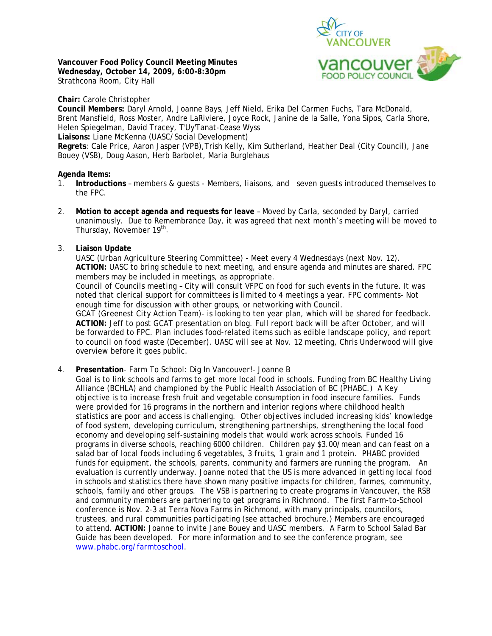

**Vancouver Food Policy Council Meeting Minutes Wednesday, October 14, 2009, 6:00-8:30pm**  Strathcona Room, City Hall

Bouey (VSB), Doug Aason, Herb Barbolet, Maria Burglehaus

**Chair:** Carole Christopher

**Council Members:** Daryl Arnold, Joanne Bays, Jeff Nield, Erika Del Carmen Fuchs, Tara McDonald, Brent Mansfield, Ross Moster, Andre LaRiviere, Joyce Rock, Janine de la Salle, Yona Sipos, Carla Shore, Helen Spiegelman, David Tracey, T'Uy'Tanat-Cease Wyss **Liaisons:** Liane McKenna (UASC/Social Development) **Regrets**: Cale Price, Aaron Jasper (VPB),Trish Kelly, Kim Sutherland, Heather Deal (City Council), Jane

### **Agenda Items:**

- 1. **Introductions** members & guests Members, liaisons, and seven guests introduced themselves to the FPC.
- 2. **Motion to accept agenda and requests for leave** Moved by Carla, seconded by Daryl, carried unanimously. Due to Remembrance Day, it was agreed that next month's meeting will be moved to Thursday, November 19<sup>th</sup>.

## 3. **Liaison Update**

*UASC (Urban Agriculture Steering Committee)* **-** Meet every 4 Wednesdays (next Nov. 12). **ACTION:** UASC to bring schedule to next meeting, and ensure agenda and minutes are shared. FPC members may be included in meetings, as appropriate.

*Council of Councils meeting* **–** City will consult VFPC on food for such events in the future. It was noted that clerical support for committees is limited to 4 meetings a year. FPC comments- Not enough time for discussion with other groups, or networking with Council.

*GCAT (Greenest City Action Team)-* is looking to ten year plan, which will be shared for feedback. **ACTION:** Jeff to post GCAT presentation on blog. Full report back will be after October, and will be forwarded to FPC. Plan includes food-related items such as edible landscape policy, and report to council on food waste (December). UASC will see at Nov. 12 meeting, Chris Underwood will give overview before it goes public.

4. **Presentation**- Farm To School: Dig In Vancouver!- Joanne B

Goal is to link schools and farms to get more local food in schools. Funding from BC Healthy Living Alliance (BCHLA) and championed by the Public Health Association of BC (PHABC.) A Key objective is to increase fresh fruit and vegetable consumption in food insecure families. Funds were provided for 16 programs in the northern and interior regions where childhood health statistics are poor and access is challenging. Other objectives included increasing kids' knowledge of food system, developing curriculum, strengthening partnerships, strengthening the local food economy and developing self-sustaining models that would work across schools. Funded 16 programs in diverse schools, reaching 6000 children. Children pay \$3.00/mean and can feast on a salad bar of local foods including 6 vegetables, 3 fruits, 1 grain and 1 protein. PHABC provided funds for equipment, the schools, parents, community and farmers are running the program. An evaluation is currently underway. Joanne noted that the US is more advanced in getting local food in schools and statistics there have shown many positive impacts for children, farmes, community, schools, family and other groups. The VSB is partnering to create programs in Vancouver, the RSB and community members are partnering to get programs in Richmond. The first Farm-to-School conference is Nov. 2-3 at Terra Nova Farms in Richmond, with many principals, councilors, trustees, and rural communities participating (see attached brochure.) Members are encouraged to attend. **ACTION:** Joanne to invite Jane Bouey and UASC members. A Farm to School Salad Bar Guide has been developed. For more information and to see the conference program, see www.phabc.org/farmtoschool.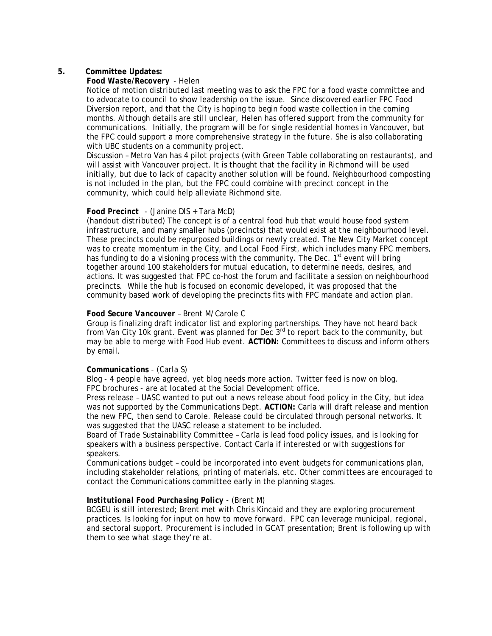### **5. Committee Updates:**

#### *Food Waste/Recovery* - Helen

Notice of motion distributed last meeting was to ask the FPC for a food waste committee and to advocate to council to show leadership on the issue. Since discovered earlier FPC Food Diversion report, and that the City is hoping to begin food waste collection in the coming months. Although details are still unclear, Helen has offered support from the community for communications. Initially, the program will be for single residential homes in Vancouver, but the FPC could support a more comprehensive strategy in the future. She is also collaborating with UBC students on a community project.

Discussion – Metro Van has 4 pilot projects (with Green Table collaborating on restaurants), and will assist with Vancouver project. It is thought that the facility in Richmond will be used initially, but due to lack of capacity another solution will be found. Neighbourhood composting is not included in the plan, but the FPC could combine with precinct concept in the community, which could help alleviate Richmond site.

#### *Food Precinct* - (Janine DlS + Tara McD)

*(handout distributed)* The concept is of a central food hub that would house food system infrastructure, and many smaller hubs (precincts) that would exist at the neighbourhood level. These precincts could be repurposed buildings or newly created. The New City Market concept was to create momentum in the City, and Local Food First, which includes many FPC members, has funding to do a visioning process with the community. The Dec.  $1<sup>st</sup>$  event will bring together around 100 stakeholders for mutual education, to determine needs, desires, and actions. It was suggested that FPC co-host the forum and facilitate a session on neighbourhood precincts. While the hub is focused on economic developed, it was proposed that the community based work of developing the precincts fits with FPC mandate and action plan.

### *Food Secure Vancouver* – Brent M/Carole C

Group is finalizing draft indicator list and exploring partnerships. They have not heard back from Van City 10k grant. Event was planned for Dec  $3^{rd}$  to report back to the community, but may be able to merge with Food Hub event. **ACTION:** Committees to discuss and inform others by email.

#### *Communications* - (Carla S)

Blog - 4 people have agreed, yet blog needs more action. Twitter feed is now on blog. FPC brochures - are at located at the Social Development office.

Press release – UASC wanted to put out a news release about food policy in the City, but idea was not supported by the Communications Dept. **ACTION:** Carla will draft release and mention the new FPC, then send to Carole. Release could be circulated through personal networks. It was suggested that the UASC release a statement to be included.

Board of Trade Sustainability Committee – Carla is lead food policy issues, and is looking for speakers with a business perspective. Contact Carla if interested or with suggestions for speakers.

Communications budget – could be incorporated into event budgets for communications plan, including stakeholder relations, printing of materials, etc. Other committees are encouraged to contact the Communications committee early in the planning stages.

#### *Institutional Food Purchasing Policy* - (Brent M)

BCGEU is still interested; Brent met with Chris Kincaid and they are exploring procurement practices. Is looking for input on how to move forward. FPC can leverage municipal, regional, and sectoral support. Procurement is included in GCAT presentation; Brent is following up with them to see what stage they're at.